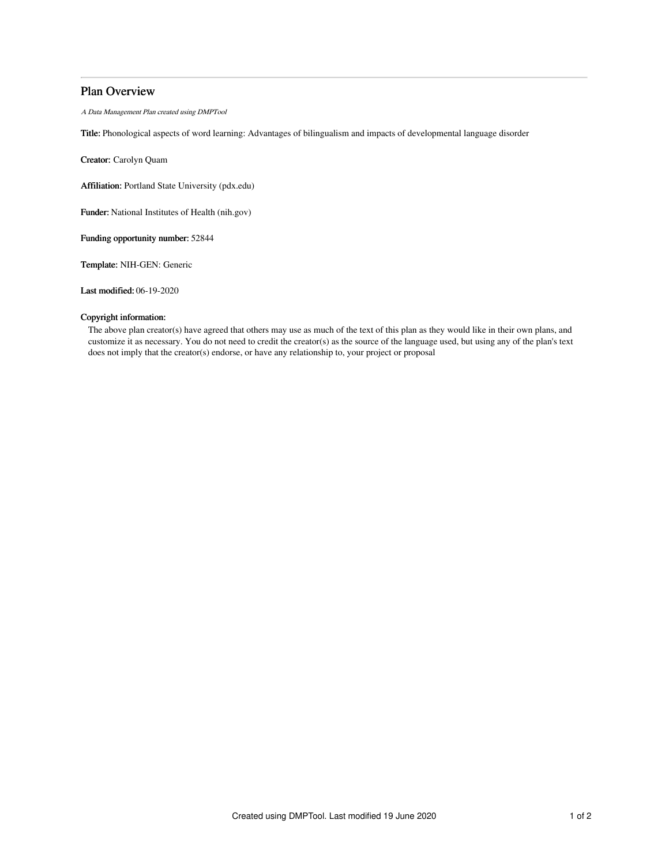# Plan Overview

A Data Management Plan created using DMPTool

Title: Phonological aspects of word learning: Advantages of bilingualism and impacts of developmental language disorder

Creator: Carolyn Quam

Affiliation: Portland State University (pdx.edu)

Funder: National Institutes of Health (nih.gov)

Funding opportunity number: 52844

Template: NIH-GEN: Generic

Last modified: 06-19-2020

## Copyright information:

The above plan creator(s) have agreed that others may use as much of the text of this plan as they would like in their own plans, and customize it as necessary. You do not need to credit the creator(s) as the source of the language used, but using any of the plan's text does not imply that the creator(s) endorse, or have any relationship to, your project or proposal